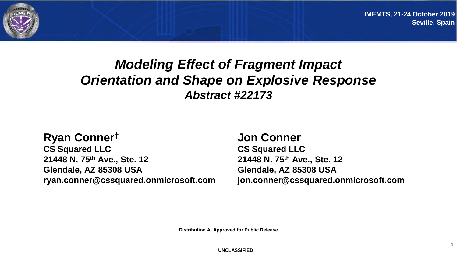

#### *Modeling Effect of Fragment Impact Orientation and Shape on Explosive Response Abstract #22173*

#### **Ryan Conner†**

**CS Squared LLC 21448 N. 75th Ave., Ste. 12 Glendale, AZ 85308 USA ryan.conner@cssquared.onmicrosoft.com**

#### **Jon Conner**

**CS Squared LLC 21448 N. 75th Ave., Ste. 12 Glendale, AZ 85308 USA jon.conner@cssquared.onmicrosoft.com**

**Distribution A: Approved for Public Release**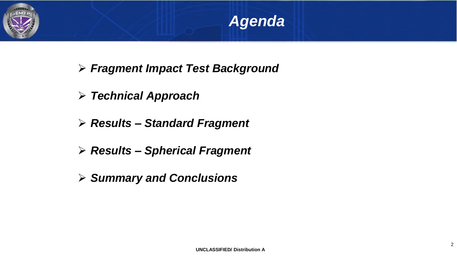



- ➢ *Fragment Impact Test Background*
- ➢ *Technical Approach*
- ➢ *Results – Standard Fragment*
- ➢ *Results – Spherical Fragment*
- ➢ *Summary and Conclusions*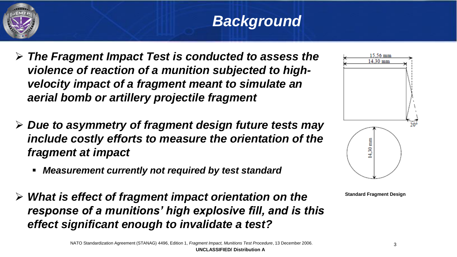

# *Background*

- ➢ *The Fragment Impact Test is conducted to assess the violence of reaction of a munition subjected to highvelocity impact of a fragment meant to simulate an aerial bomb or artillery projectile fragment*
- ➢ *Due to asymmetry of fragment design future tests may include costly efforts to measure the orientation of the fragment at impact*
	- *Measurement currently not required by test standard*
- ➢ *What is effect of fragment impact orientation on the response of a munitions' high explosive fill, and is this effect significant enough to invalidate a test?*



**Standard Fragment Design**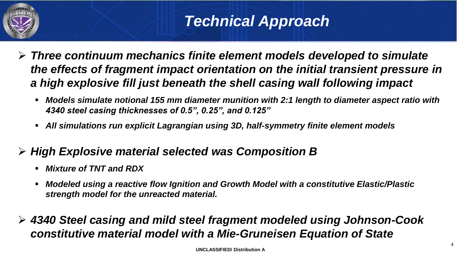

# *Technical Approach*

- ➢ *Three continuum mechanics finite element models developed to simulate the effects of fragment impact orientation on the initial transient pressure in a high explosive fill just beneath the shell casing wall following impact*
	- *Models simulate notional 155 mm diameter munition with 2:1 length to diameter aspect ratio with 4340 steel casing thicknesses of 0.5", 0.25", and 0.125"*
	- *All simulations run explicit Lagrangian using 3D, half-symmetry finite element models*
- ➢ *High Explosive material selected was Composition B* 
	- *Mixture of TNT and RDX*
	- **Modeled using a reactive flow Ignition and Growth Model with a constitutive Elastic/Plastic** *strength model for the unreacted material.*
- ➢ *4340 Steel casing and mild steel fragment modeled using Johnson-Cook constitutive material model with a Mie-Gruneisen Equation of State*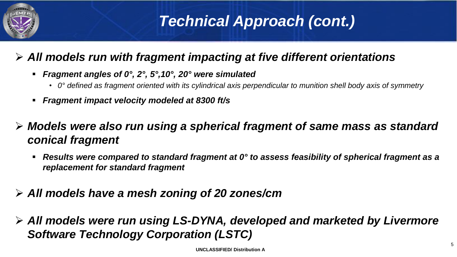

# *Technical Approach (cont.)*

#### ➢ *All models run with fragment impacting at five different orientations*

- *Fragment angles of 0°, 2°, 5°,10°, 20° were simulated*
	- *0° defined as fragment oriented with its cylindrical axis perpendicular to munition shell body axis of symmetry*
- *Fragment impact velocity modeled at 8300 ft/s*
- ➢ *Models were also run using a spherical fragment of same mass as standard conical fragment* 
	- *Results were compared to standard fragment at 0° to assess feasibility of spherical fragment as a replacement for standard fragment*
- ➢ *All models have a mesh zoning of 20 zones/cm*
- ➢ *All models were run using LS-DYNA, developed and marketed by Livermore Software Technology Corporation (LSTC)*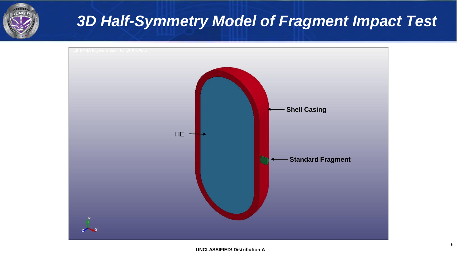

# *3D Half-Symmetry Model of Fragment Impact Test*

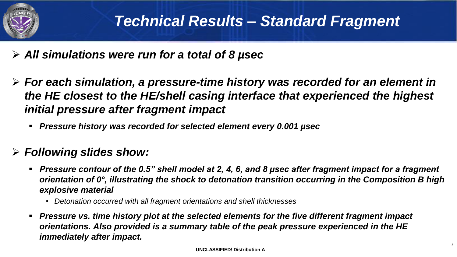

- ➢ *All simulations were run for a total of 8 µsec*
- ➢ *For each simulation, a pressure-time history was recorded for an element in the HE closest to the HE/shell casing interface that experienced the highest initial pressure after fragment impact* 
	- *Pressure history was recorded for selected element every 0.001 µsec*

#### ➢ *Following slides show:*

- Pressure contour of the 0.5" shell model at 2, 4, 6, and 8 µsec after fragment impact for a fragment *orientation of 0°, illustrating the shock to detonation transition occurring in the Composition B high explosive material* 
	- *Detonation occurred with all fragment orientations and shell thicknesses*
- *Pressure vs. time history plot at the selected elements for the five different fragment impact orientations. Also provided is a summary table of the peak pressure experienced in the HE immediately after impact.*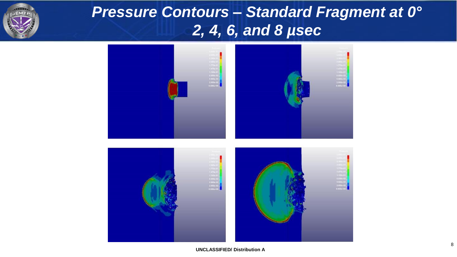

# *Pressure Contours – Standard Fragment at 0° 2, 4, 6, and 8 µsec*

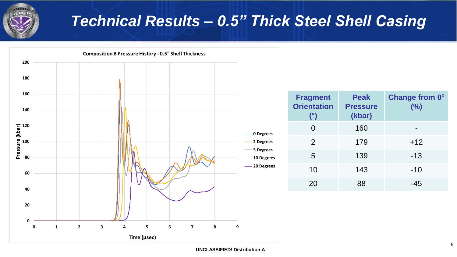

### *Technical Results – 0.5" Thick Steel Shell Casing*



**Change from 0°**

**(%)**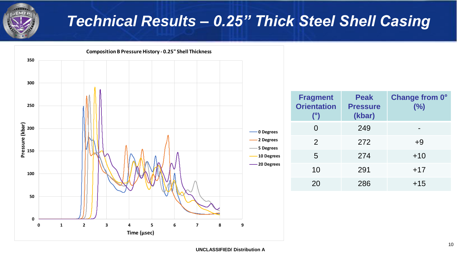

# *Technical Results – 0.25" Thick Steel Shell Casing*



| <b>Fragment</b><br><b>Orientation</b><br>$(^\circ)$ | <b>Peak</b><br><b>Pressure</b><br>(kbar) | <b>Change from 0°</b><br>(%) |
|-----------------------------------------------------|------------------------------------------|------------------------------|
| 0                                                   | 249                                      |                              |
| 2                                                   | 272                                      | $+9$                         |
| 5                                                   | 274                                      | $+10$                        |
| 10                                                  | 291                                      | $+17$                        |
| 20                                                  | 286                                      | $+15$                        |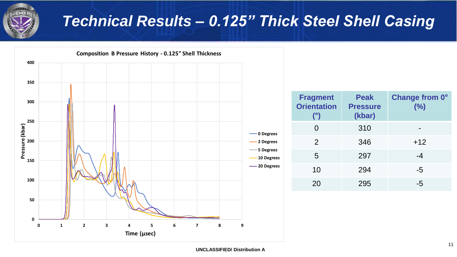

## *Technical Results – 0.125" Thick Steel Shell Casing*

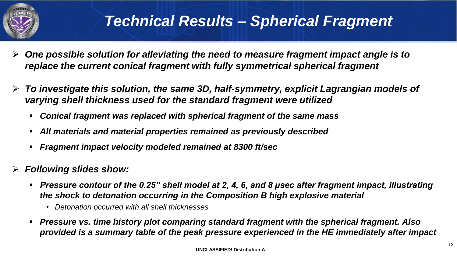

#### *Technical Results – Spherical Fragment*

- ➢ *One possible solution for alleviating the need to measure fragment impact angle is to replace the current conical fragment with fully symmetrical spherical fragment*
- ➢ *To investigate this solution, the same 3D, half-symmetry, explicit Lagrangian models of varying shell thickness used for the standard fragment were utilized* 
	- *Conical fragment was replaced with spherical fragment of the same mass*
	- *All materials and material properties remained as previously described*
	- *Fragment impact velocity modeled remained at 8300 ft/sec*
- ➢ *Following slides show:*
	- Pressure contour of the 0.25" shell model at 2, 4, 6, and 8 µsec after fragment impact, illustrating *the shock to detonation occurring in the Composition B high explosive material* 
		- *Detonation occurred with all shell thicknesses*
	- *Pressure vs. time history plot comparing standard fragment with the spherical fragment. Also provided is a summary table of the peak pressure experienced in the HE immediately after impact*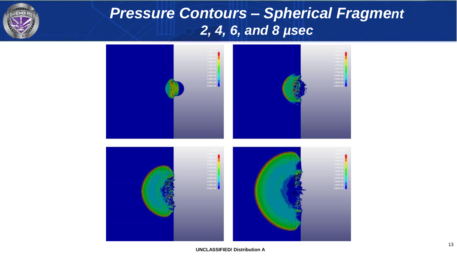

# *Pressure Contours – Spherical Fragment 2, 4, 6, and 8 µsec*

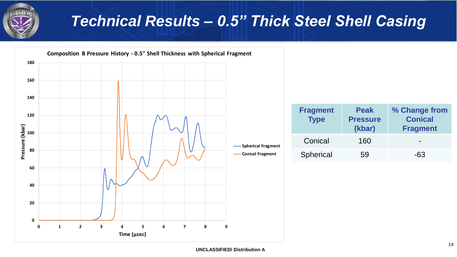

# *Technical Results – 0.5" Thick Steel Shell Casing*

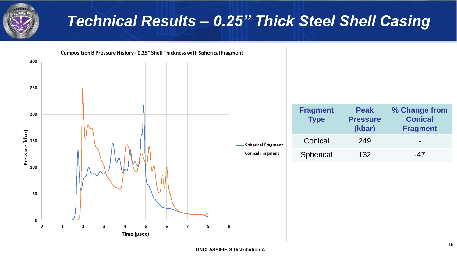

# *Technical Results – 0.25" Thick Steel Shell Casing*

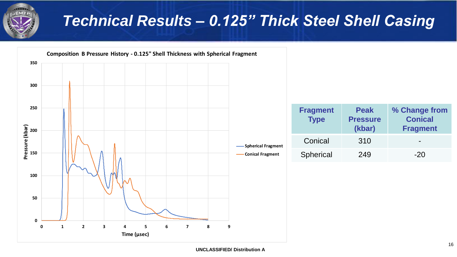

# *Technical Results – 0.125" Thick Steel Shell Casing*

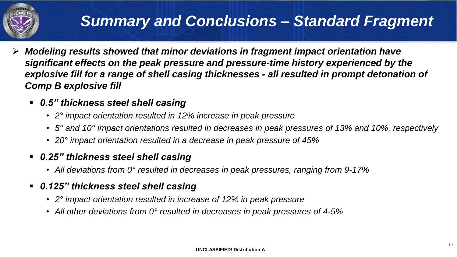

# *Summary and Conclusions – Standard Fragment*

- ➢ *Modeling results showed that minor deviations in fragment impact orientation have significant effects on the peak pressure and pressure-time history experienced by the explosive fill for a range of shell casing thicknesses - all resulted in prompt detonation of Comp B explosive fill*
	- *0.5" thickness steel shell casing*
		- *2° impact orientation resulted in 12% increase in peak pressure*
		- *5° and 10° impact orientations resulted in decreases in peak pressures of 13% and 10%, respectively*
		- *20° impact orientation resulted in a decrease in peak pressure of 45%*
	- *0.25" thickness steel shell casing*
		- *All deviations from 0° resulted in decreases in peak pressures, ranging from 9-17%*
	- *0.125" thickness steel shell casing*
		- *2° impact orientation resulted in increase of 12% in peak pressure*
		- *All other deviations from 0° resulted in decreases in peak pressures of 4-5%*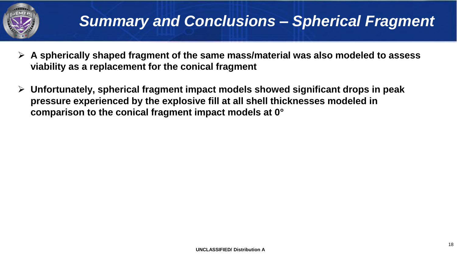

- ➢ **A spherically shaped fragment of the same mass/material was also modeled to assess viability as a replacement for the conical fragment**
- ➢ **Unfortunately, spherical fragment impact models showed significant drops in peak pressure experienced by the explosive fill at all shell thicknesses modeled in comparison to the conical fragment impact models at 0°**